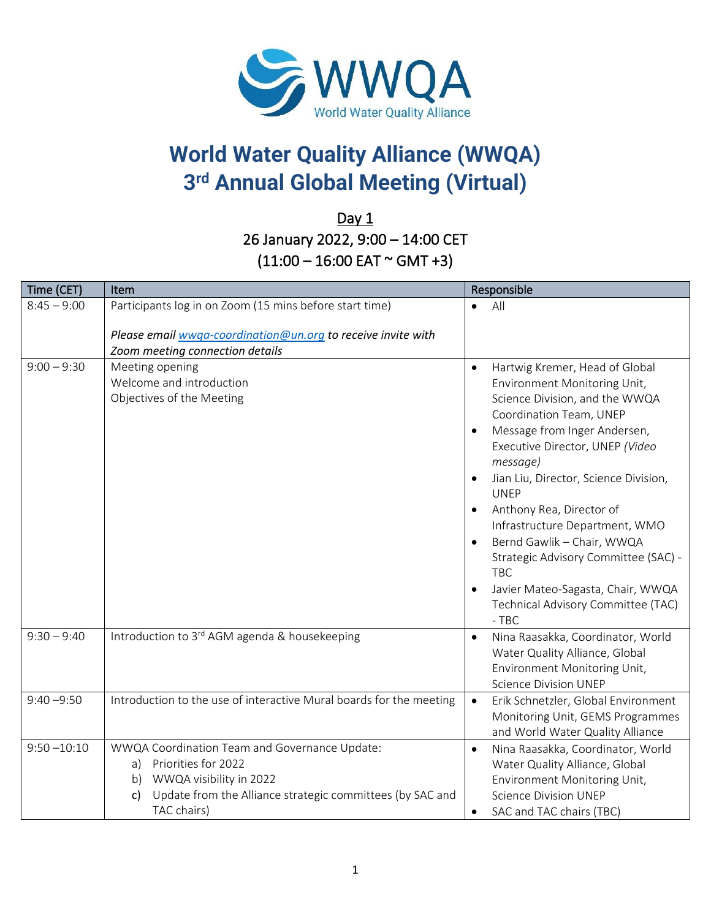

## **World Water Quality Alliance (WWQA) 3 rd Annual Global Meeting (Virtual)**

 $Day 1$ 26 January 2022, 9:00 – 14:00 CET  $(11:00 - 16:00$  EAT  $\sim$  GMT +3)

| Time (CET)     | Item                                                                                                                                                                                          | Responsible                                                                                                                                                                                                                                                                                                                                                                                                                                                                                                                                                    |
|----------------|-----------------------------------------------------------------------------------------------------------------------------------------------------------------------------------------------|----------------------------------------------------------------------------------------------------------------------------------------------------------------------------------------------------------------------------------------------------------------------------------------------------------------------------------------------------------------------------------------------------------------------------------------------------------------------------------------------------------------------------------------------------------------|
| $8:45 - 9:00$  | Participants log in on Zoom (15 mins before start time)                                                                                                                                       | All<br>$\bullet$                                                                                                                                                                                                                                                                                                                                                                                                                                                                                                                                               |
|                | Please email wwga-coordination@un.org to receive invite with<br>Zoom meeting connection details                                                                                               |                                                                                                                                                                                                                                                                                                                                                                                                                                                                                                                                                                |
| $9:00 - 9:30$  | Meeting opening<br>Welcome and introduction<br>Objectives of the Meeting                                                                                                                      | Hartwig Kremer, Head of Global<br>$\bullet$<br>Environment Monitoring Unit,<br>Science Division, and the WWQA<br>Coordination Team, UNEP<br>Message from Inger Andersen,<br>$\bullet$<br>Executive Director, UNEP (Video<br>message)<br>Jian Liu, Director, Science Division,<br>$\bullet$<br><b>UNEP</b><br>Anthony Rea, Director of<br>Infrastructure Department, WMO<br>Bernd Gawlik - Chair, WWQA<br>$\bullet$<br>Strategic Advisory Committee (SAC) -<br><b>TBC</b><br>Javier Mateo-Sagasta, Chair, WWQA<br>Technical Advisory Committee (TAC)<br>$-$ TBC |
| $9:30 - 9:40$  | Introduction to 3 <sup>rd</sup> AGM agenda & housekeeping                                                                                                                                     | Nina Raasakka, Coordinator, World<br>$\bullet$<br>Water Quality Alliance, Global<br>Environment Monitoring Unit,<br><b>Science Division UNEP</b>                                                                                                                                                                                                                                                                                                                                                                                                               |
| $9:40 - 9:50$  | Introduction to the use of interactive Mural boards for the meeting                                                                                                                           | Erik Schnetzler, Global Environment<br>$\bullet$<br>Monitoring Unit, GEMS Programmes<br>and World Water Quality Alliance                                                                                                                                                                                                                                                                                                                                                                                                                                       |
| $9:50 - 10:10$ | WWQA Coordination Team and Governance Update:<br>Priorities for 2022<br>a)<br>WWQA visibility in 2022<br>b)<br>Update from the Alliance strategic committees (by SAC and<br>c)<br>TAC chairs) | Nina Raasakka, Coordinator, World<br>$\bullet$<br>Water Quality Alliance, Global<br>Environment Monitoring Unit,<br><b>Science Division UNEP</b><br>SAC and TAC chairs (TBC)<br>$\bullet$                                                                                                                                                                                                                                                                                                                                                                      |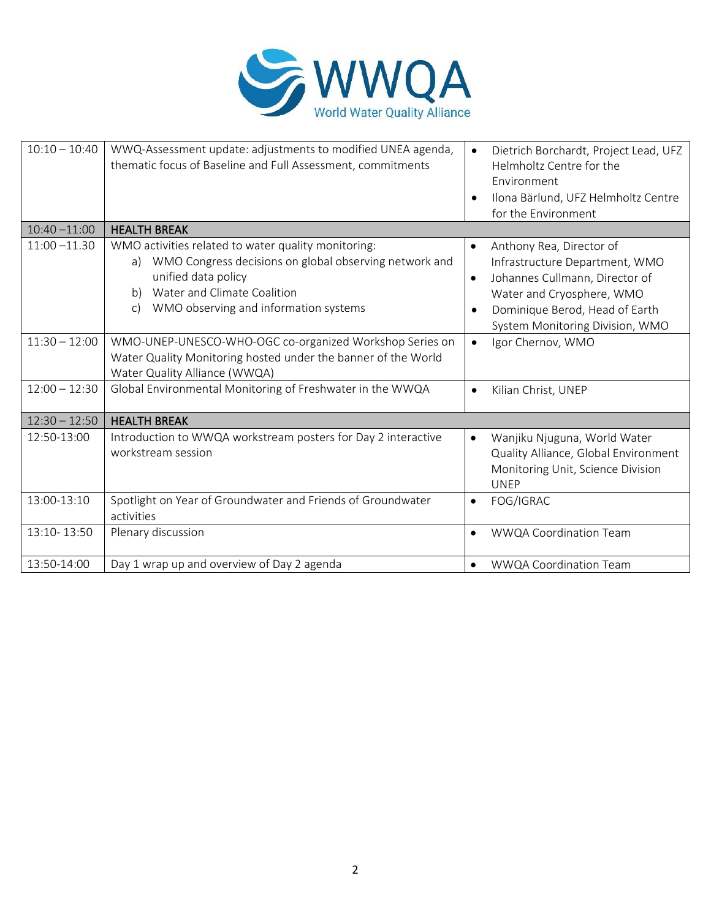

| $10:10 - 10:40$ | WWQ-Assessment update: adjustments to modified UNEA agenda,<br>thematic focus of Baseline and Full Assessment, commitments                                                                                                     | Dietrich Borchardt, Project Lead, UFZ<br>$\bullet$<br>Helmholtz Centre for the<br>Environment<br>Ilona Bärlund, UFZ Helmholtz Centre<br>$\bullet$<br>for the Environment                                                              |
|-----------------|--------------------------------------------------------------------------------------------------------------------------------------------------------------------------------------------------------------------------------|---------------------------------------------------------------------------------------------------------------------------------------------------------------------------------------------------------------------------------------|
| $10:40 - 11:00$ | <b>HEALTH BREAK</b>                                                                                                                                                                                                            |                                                                                                                                                                                                                                       |
| $11:00 - 11.30$ | WMO activities related to water quality monitoring:<br>WMO Congress decisions on global observing network and<br>a)<br>unified data policy<br>Water and Climate Coalition<br>b)<br>WMO observing and information systems<br>c) | Anthony Rea, Director of<br>$\bullet$<br>Infrastructure Department, WMO<br>Johannes Cullmann, Director of<br>$\bullet$<br>Water and Cryosphere, WMO<br>Dominique Berod, Head of Earth<br>$\bullet$<br>System Monitoring Division, WMO |
| $11:30 - 12:00$ | WMO-UNEP-UNESCO-WHO-OGC co-organized Workshop Series on<br>Water Quality Monitoring hosted under the banner of the World<br>Water Quality Alliance (WWQA)                                                                      | Igor Chernov, WMO<br>$\bullet$                                                                                                                                                                                                        |
| $12:00 - 12:30$ | Global Environmental Monitoring of Freshwater in the WWQA                                                                                                                                                                      | Kilian Christ, UNEP<br>$\bullet$                                                                                                                                                                                                      |
| $12:30 - 12:50$ | <b>HEALTH BREAK</b>                                                                                                                                                                                                            |                                                                                                                                                                                                                                       |
| 12:50-13:00     | Introduction to WWQA workstream posters for Day 2 interactive<br>workstream session                                                                                                                                            | Wanjiku Njuguna, World Water<br>$\bullet$<br>Quality Alliance, Global Environment<br>Monitoring Unit, Science Division<br><b>UNEP</b>                                                                                                 |
| 13:00-13:10     | Spotlight on Year of Groundwater and Friends of Groundwater<br>activities                                                                                                                                                      | FOG/IGRAC<br>$\bullet$                                                                                                                                                                                                                |
| 13:10-13:50     | Plenary discussion                                                                                                                                                                                                             | <b>WWQA Coordination Team</b><br>$\bullet$                                                                                                                                                                                            |
| 13:50-14:00     | Day 1 wrap up and overview of Day 2 agenda                                                                                                                                                                                     | WWQA Coordination Team<br>$\bullet$                                                                                                                                                                                                   |